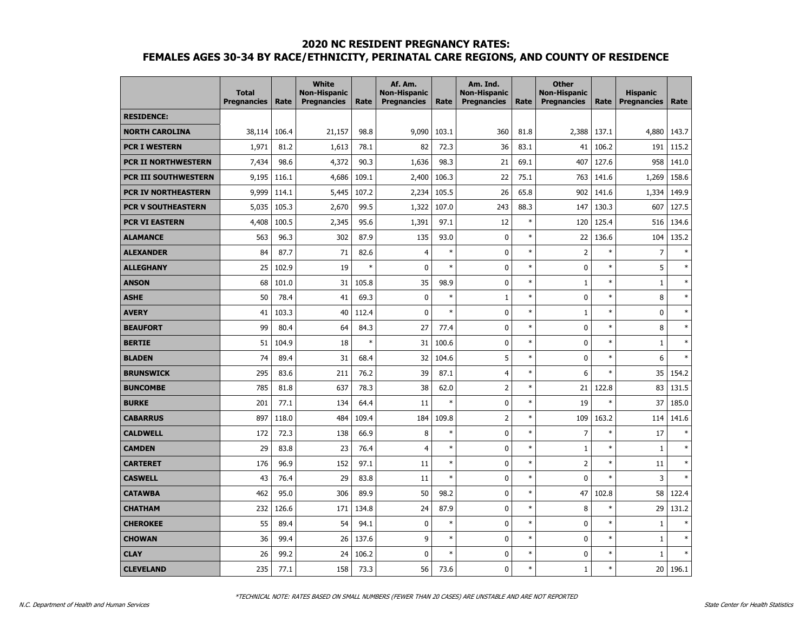|                             | <b>Total</b><br><b>Pregnancies</b> | Rate  | <b>White</b><br><b>Non-Hispanic</b><br><b>Pregnancies</b> | Rate   | Af. Am.<br><b>Non-Hispanic</b><br><b>Pregnancies</b> | Rate   | Am. Ind.<br><b>Non-Hispanic</b><br><b>Pregnancies</b> | Rate   | <b>Other</b><br><b>Non-Hispanic</b><br><b>Pregnancies</b> | Rate   | <b>Hispanic</b><br><b>Pregnancies</b> | Rate   |
|-----------------------------|------------------------------------|-------|-----------------------------------------------------------|--------|------------------------------------------------------|--------|-------------------------------------------------------|--------|-----------------------------------------------------------|--------|---------------------------------------|--------|
| <b>RESIDENCE:</b>           |                                    |       |                                                           |        |                                                      |        |                                                       |        |                                                           |        |                                       |        |
| <b>NORTH CAROLINA</b>       | 38,114                             | 106.4 | 21,157                                                    | 98.8   | 9,090                                                | 103.1  | 360                                                   | 81.8   | 2,388                                                     | 137.1  | 4,880                                 | 143.7  |
| <b>PCR I WESTERN</b>        | 1,971                              | 81.2  | 1,613                                                     | 78.1   | 82                                                   | 72.3   | 36                                                    | 83.1   | 41                                                        | 106.2  | 191                                   | 115.2  |
| <b>PCR II NORTHWESTERN</b>  | 7,434                              | 98.6  | 4,372                                                     | 90.3   | 1,636                                                | 98.3   | 21                                                    | 69.1   | 407                                                       | 127.6  | 958                                   | 141.0  |
| <b>PCR III SOUTHWESTERN</b> | 9,195                              | 116.1 | 4,686                                                     | 109.1  | 2,400                                                | 106.3  | 22                                                    | 75.1   | 763                                                       | 141.6  | 1,269                                 | 158.6  |
| <b>PCR IV NORTHEASTERN</b>  | 9,999                              | 114.1 | 5,445                                                     | 107.2  | 2,234                                                | 105.5  | 26                                                    | 65.8   | 902                                                       | 141.6  | 1,334                                 | 149.9  |
| <b>PCR V SOUTHEASTERN</b>   | 5,035                              | 105.3 | 2,670                                                     | 99.5   | 1,322                                                | 107.0  | 243                                                   | 88.3   | 147                                                       | 130.3  | 607                                   | 127.5  |
| <b>PCR VI EASTERN</b>       | 4,408                              | 100.5 | 2,345                                                     | 95.6   | 1,391                                                | 97.1   | 12                                                    | $\ast$ | 120                                                       | 125.4  | 516                                   | 134.6  |
| <b>ALAMANCE</b>             | 563                                | 96.3  | 302                                                       | 87.9   | 135                                                  | 93.0   | 0                                                     | $\ast$ | 22                                                        | 136.6  | 104                                   | 135.2  |
| <b>ALEXANDER</b>            | 84                                 | 87.7  | 71                                                        | 82.6   | $\overline{4}$                                       | $\ast$ | 0                                                     | $\ast$ | $\overline{2}$                                            | $\ast$ | $\overline{7}$                        | $\ast$ |
| <b>ALLEGHANY</b>            | 25                                 | 102.9 | 19                                                        | $\ast$ | $\mathbf{0}$                                         | $\ast$ | 0                                                     | $\ast$ | $\mathbf 0$                                               | $\ast$ | 5                                     | $\ast$ |
| <b>ANSON</b>                | 68                                 | 101.0 | 31                                                        | 105.8  | 35                                                   | 98.9   | 0                                                     | $\ast$ | $1\,$                                                     | $\ast$ | $\mathbf{1}$                          | $\ast$ |
| <b>ASHE</b>                 | 50                                 | 78.4  | 41                                                        | 69.3   | 0                                                    | $\ast$ | $\mathbf{1}$                                          | $\ast$ | 0                                                         | $\ast$ | 8                                     | $\ast$ |
| <b>AVERY</b>                | 41                                 | 103.3 | 40                                                        | 112.4  | $\mathbf{0}$                                         | $\ast$ | 0                                                     | $\ast$ | 1                                                         | $\ast$ | $\mathbf 0$                           | $\ast$ |
| <b>BEAUFORT</b>             | 99                                 | 80.4  | 64                                                        | 84.3   | 27                                                   | 77.4   | 0                                                     | $\ast$ | $\mathbf 0$                                               | $\ast$ | 8                                     | $\ast$ |
| <b>BERTIE</b>               | 51                                 | 104.9 | 18                                                        | $\ast$ | 31                                                   | 100.6  | 0                                                     | $\ast$ | $\mathbf 0$                                               | $\ast$ | $\mathbf{1}$                          | $\ast$ |
| <b>BLADEN</b>               | 74                                 | 89.4  | 31                                                        | 68.4   | 32                                                   | 104.6  | 5                                                     | $\ast$ | $\mathbf 0$                                               | $\ast$ | 6                                     | $\ast$ |
| <b>BRUNSWICK</b>            | 295                                | 83.6  | 211                                                       | 76.2   | 39                                                   | 87.1   | 4                                                     | $\ast$ | 6                                                         | $\ast$ | 35                                    | 154.2  |
| <b>BUNCOMBE</b>             | 785                                | 81.8  | 637                                                       | 78.3   | 38                                                   | 62.0   | $\overline{\mathbf{c}}$                               | $\ast$ | 21                                                        | 122.8  | 83                                    | 131.5  |
| <b>BURKE</b>                | 201                                | 77.1  | 134                                                       | 64.4   | 11                                                   | $\ast$ | 0                                                     | $\ast$ | 19                                                        | $\ast$ | 37                                    | 185.0  |
| <b>CABARRUS</b>             | 897                                | 118.0 | 484                                                       | 109.4  | 184                                                  | 109.8  | $\overline{2}$                                        | $\ast$ | 109                                                       | 163.2  | 114                                   | 141.6  |
| <b>CALDWELL</b>             | 172                                | 72.3  | 138                                                       | 66.9   | 8                                                    | $\ast$ | 0                                                     | $\ast$ | $\overline{7}$                                            | $\ast$ | 17                                    | $\ast$ |
| <b>CAMDEN</b>               | 29                                 | 83.8  | 23                                                        | 76.4   | $\overline{4}$                                       | $\ast$ | $\pmb{0}$                                             | $\ast$ | $\mathbf{1}$                                              | $\ast$ | $\mathbf 1$                           | $\ast$ |
| <b>CARTERET</b>             | 176                                | 96.9  | 152                                                       | 97.1   | 11                                                   | $\ast$ | $\mathbf 0$                                           | $\ast$ | $\overline{c}$                                            | $\ast$ | 11                                    | $\ast$ |
| <b>CASWELL</b>              | 43                                 | 76.4  | 29                                                        | 83.8   | 11                                                   | $\ast$ | 0                                                     | $\ast$ | $\mathbf 0$                                               | $\ast$ | 3                                     | $\ast$ |
| <b>CATAWBA</b>              | 462                                | 95.0  | 306                                                       | 89.9   | 50                                                   | 98.2   | 0                                                     | $\ast$ | 47                                                        | 102.8  | 58                                    | 122.4  |
| <b>CHATHAM</b>              | 232                                | 126.6 | 171                                                       | 134.8  | 24                                                   | 87.9   | $\bf{0}$                                              | $\ast$ | 8                                                         | $\ast$ | 29                                    | 131.2  |
| <b>CHEROKEE</b>             | 55                                 | 89.4  | 54                                                        | 94.1   | 0                                                    | $\ast$ | $\mathbf 0$                                           | $\ast$ | $\mathbf 0$                                               | $\ast$ | $\mathbf 1$                           | $\ast$ |
| <b>CHOWAN</b>               | 36                                 | 99.4  | 26                                                        | 137.6  | 9                                                    | $\ast$ | $\mathbf 0$                                           | $\ast$ | $\mathbf 0$                                               | $\ast$ | $\mathbf{1}$                          | $\ast$ |
| <b>CLAY</b>                 | 26                                 | 99.2  | 24                                                        | 106.2  | $\mathbf{0}$                                         | $\ast$ | 0                                                     | $\ast$ | 0                                                         | $\ast$ | $\mathbf 1$                           | $\ast$ |
| <b>CLEVELAND</b>            | 235                                | 77.1  | 158                                                       | 73.3   | 56                                                   | 73.6   | $\mathbf 0$                                           | $\ast$ | $\mathbf 1$                                               | $\ast$ | 20                                    | 196.1  |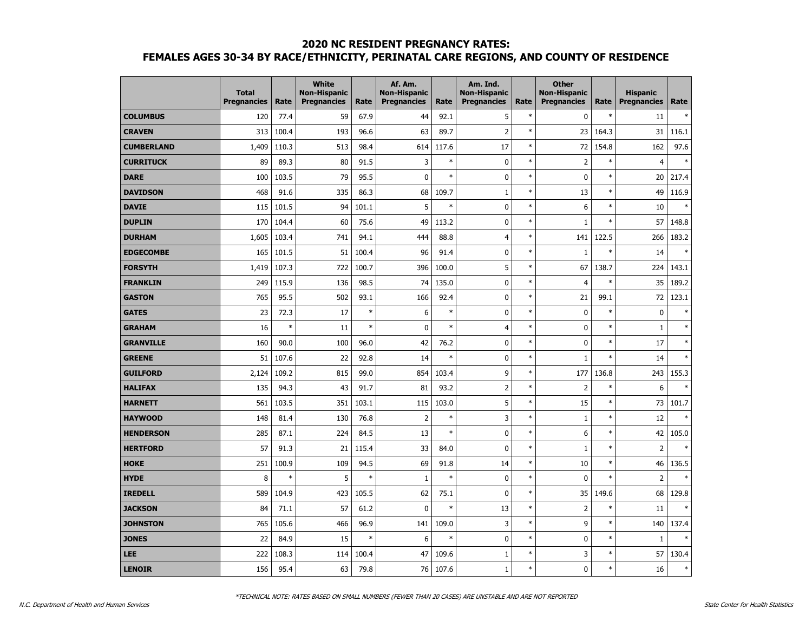|                   | <b>Total</b><br><b>Pregnancies</b> | Rate   | <b>White</b><br><b>Non-Hispanic</b><br><b>Pregnancies</b> | Rate   | Af. Am.<br><b>Non-Hispanic</b><br><b>Pregnancies</b> | Rate   | Am. Ind.<br><b>Non-Hispanic</b><br><b>Pregnancies</b> | Rate   | <b>Other</b><br><b>Non-Hispanic</b><br><b>Pregnancies</b> | Rate   | <b>Hispanic</b><br><b>Pregnancies</b> | Rate   |
|-------------------|------------------------------------|--------|-----------------------------------------------------------|--------|------------------------------------------------------|--------|-------------------------------------------------------|--------|-----------------------------------------------------------|--------|---------------------------------------|--------|
| <b>COLUMBUS</b>   | 120                                | 77.4   | 59                                                        | 67.9   | 44                                                   | 92.1   | 5                                                     | $\ast$ | $\mathbf 0$                                               | $\ast$ | 11                                    |        |
| <b>CRAVEN</b>     | 313                                | 100.4  | 193                                                       | 96.6   | 63                                                   | 89.7   | $\overline{2}$                                        | $\ast$ | 23                                                        | 164.3  | 31                                    | 116.1  |
| <b>CUMBERLAND</b> | 1,409                              | 110.3  | 513                                                       | 98.4   | 614                                                  | 117.6  | 17                                                    | $\ast$ | 72                                                        | 154.8  | 162                                   | 97.6   |
| <b>CURRITUCK</b>  | 89                                 | 89.3   | 80                                                        | 91.5   | 3                                                    | $\ast$ | 0                                                     | $\ast$ | $\overline{2}$                                            | $\ast$ | $\overline{4}$                        |        |
| <b>DARE</b>       | 100                                | 103.5  | 79                                                        | 95.5   | $\mathbf{0}$                                         | $\ast$ | 0                                                     | $\ast$ | $\mathbf 0$                                               | $\ast$ | 20                                    | 217.4  |
| <b>DAVIDSON</b>   | 468                                | 91.6   | 335                                                       | 86.3   | 68                                                   | 109.7  | $\mathbf{1}$                                          | $\ast$ | 13                                                        | $\ast$ | 49                                    | 116.9  |
| <b>DAVIE</b>      | 115                                | 101.5  | 94                                                        | 101.1  | 5                                                    | $\ast$ | 0                                                     | $\ast$ | 6                                                         | $\ast$ | 10                                    | ×      |
| <b>DUPLIN</b>     | 170                                | 104.4  | 60                                                        | 75.6   | 49                                                   | 113.2  | 0                                                     | $\ast$ | $\mathbf{1}$                                              | $\ast$ | 57                                    | 148.8  |
| <b>DURHAM</b>     | 1,605                              | 103.4  | 741                                                       | 94.1   | 444                                                  | 88.8   | 4                                                     | $\ast$ | 141                                                       | 122.5  | 266                                   | 183.2  |
| <b>EDGECOMBE</b>  | 165                                | 101.5  | 51                                                        | 100.4  | 96                                                   | 91.4   | 0                                                     | $\ast$ | $\mathbf{1}$                                              | $\ast$ | 14                                    | $\ast$ |
| <b>FORSYTH</b>    | 1,419                              | 107.3  | 722                                                       | 100.7  | 396                                                  | 100.0  | 5                                                     | $\ast$ | 67                                                        | 138.7  | 224                                   | 143.1  |
| <b>FRANKLIN</b>   | 249                                | 115.9  | 136                                                       | 98.5   | 74                                                   | 135.0  | 0                                                     | $\ast$ | $\overline{4}$                                            | $\ast$ | 35                                    | 189.2  |
| <b>GASTON</b>     | 765                                | 95.5   | 502                                                       | 93.1   | 166                                                  | 92.4   | 0                                                     | $\ast$ | 21                                                        | 99.1   | 72                                    | 123.1  |
| <b>GATES</b>      | 23                                 | 72.3   | 17                                                        | $\ast$ | 6                                                    | $\ast$ | 0                                                     | $\ast$ | $\mathbf 0$                                               | $\ast$ | $\pmb{0}$                             | $\ast$ |
| <b>GRAHAM</b>     | 16                                 | $\ast$ | 11                                                        | $\ast$ | $\mathbf 0$                                          | $\ast$ | $\overline{4}$                                        | $\ast$ | $\mathbf 0$                                               | $\ast$ | $\mathbf{1}$                          | $\ast$ |
| <b>GRANVILLE</b>  | 160                                | 90.0   | 100                                                       | 96.0   | 42                                                   | 76.2   | 0                                                     | $\ast$ | $\mathbf 0$                                               | $\ast$ | 17                                    | $\ast$ |
| <b>GREENE</b>     | 51                                 | 107.6  | 22                                                        | 92.8   | 14                                                   | $\ast$ | 0                                                     | $\ast$ | $\mathbf{1}$                                              | $\ast$ | 14                                    | $\ast$ |
| <b>GUILFORD</b>   | 2,124                              | 109.2  | 815                                                       | 99.0   | 854                                                  | 103.4  | 9                                                     | $\ast$ | 177                                                       | 136.8  | 243                                   | 155.3  |
| <b>HALIFAX</b>    | 135                                | 94.3   | 43                                                        | 91.7   | 81                                                   | 93.2   | $\overline{2}$                                        | $\ast$ | $\overline{2}$                                            | $\ast$ | 6                                     | $\ast$ |
| <b>HARNETT</b>    | 561                                | 103.5  | 351                                                       | 103.1  | 115                                                  | 103.0  | 5                                                     | $\ast$ | 15                                                        | $\ast$ | 73                                    | 101.7  |
| <b>HAYWOOD</b>    | 148                                | 81.4   | 130                                                       | 76.8   | $\overline{2}$                                       | $\ast$ | 3                                                     | $\ast$ | $\mathbf{1}$                                              | $\ast$ | 12                                    |        |
| <b>HENDERSON</b>  | 285                                | 87.1   | 224                                                       | 84.5   | 13                                                   | $\ast$ | 0                                                     | $\ast$ | 6                                                         | $\ast$ | 42                                    | 105.0  |
| <b>HERTFORD</b>   | 57                                 | 91.3   | 21                                                        | 115.4  | 33                                                   | 84.0   | $\mathbf 0$                                           | $\ast$ | $\mathbf{1}$                                              | $\ast$ | $\overline{2}$                        | $\ast$ |
| <b>HOKE</b>       | 251                                | 100.9  | 109                                                       | 94.5   | 69                                                   | 91.8   | 14                                                    | $\ast$ | 10                                                        | $\ast$ | 46                                    | 136.5  |
| <b>HYDE</b>       | 8                                  | $\ast$ | 5                                                         | $\ast$ | $\mathbf{1}$                                         | $\ast$ | 0                                                     | $\ast$ | $\mathbf 0$                                               | $\ast$ | $\overline{2}$                        | $\ast$ |
| <b>IREDELL</b>    | 589                                | 104.9  | 423                                                       | 105.5  | 62                                                   | 75.1   | 0                                                     | $\ast$ | 35                                                        | 149.6  | 68                                    | 129.8  |
| <b>JACKSON</b>    | 84                                 | 71.1   | 57                                                        | 61.2   | $\mathbf 0$                                          | $\ast$ | 13                                                    | $\ast$ | $\overline{2}$                                            | $\ast$ | 11                                    | $\ast$ |
| <b>JOHNSTON</b>   | 765                                | 105.6  | 466                                                       | 96.9   | 141                                                  | 109.0  | 3                                                     | $\ast$ | 9                                                         | $\ast$ | 140                                   | 137.4  |
| <b>JONES</b>      | 22                                 | 84.9   | 15                                                        | $\ast$ | 6                                                    | $\ast$ | 0                                                     | $\ast$ | $\bf{0}$                                                  | $\ast$ | $1\,$                                 | ×      |
| LEE               | 222                                | 108.3  | 114                                                       | 100.4  | 47                                                   | 109.6  | $\mathbf{1}$                                          | $\ast$ | 3                                                         | $\ast$ | 57                                    | 130.4  |
| <b>LENOIR</b>     | 156                                | 95.4   | 63                                                        | 79.8   | 76                                                   | 107.6  | $\mathbf{1}$                                          | $\ast$ | $\mathbf 0$                                               | $\ast$ | 16                                    | $\ast$ |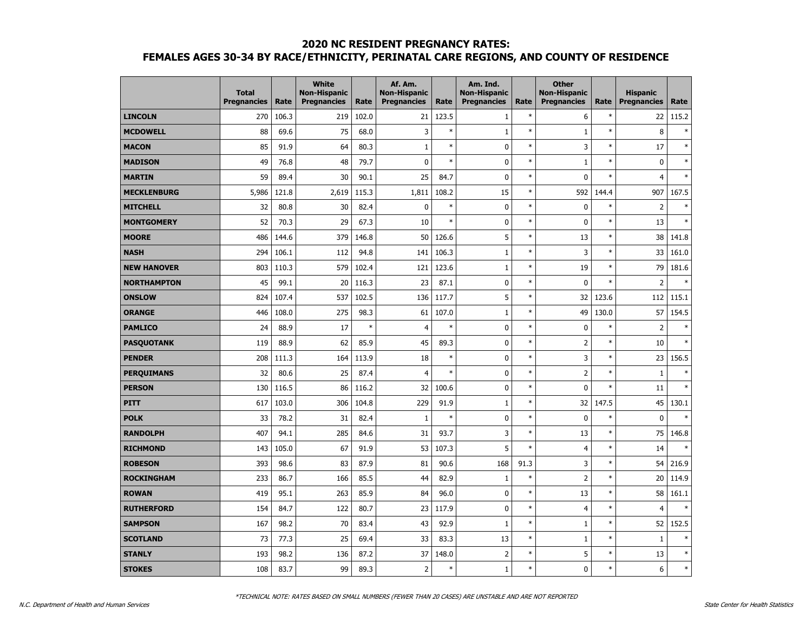|                    | <b>Total</b><br><b>Pregnancies</b> | Rate  | <b>White</b><br><b>Non-Hispanic</b><br><b>Pregnancies</b> | Rate   | Af. Am.<br><b>Non-Hispanic</b><br><b>Pregnancies</b> | Rate   | Am. Ind.<br><b>Non-Hispanic</b><br><b>Pregnancies</b> | Rate   | <b>Other</b><br><b>Non-Hispanic</b><br><b>Pregnancies</b> | Rate   | <b>Hispanic</b><br><b>Pregnancies</b> | Rate   |
|--------------------|------------------------------------|-------|-----------------------------------------------------------|--------|------------------------------------------------------|--------|-------------------------------------------------------|--------|-----------------------------------------------------------|--------|---------------------------------------|--------|
| <b>LINCOLN</b>     | 270                                | 106.3 | 219                                                       | 102.0  | 21                                                   | 123.5  | $\mathbf{1}$                                          | $\ast$ | 6                                                         | $\ast$ | 22                                    | 115.2  |
| <b>MCDOWELL</b>    | 88                                 | 69.6  | 75                                                        | 68.0   | 3                                                    | $\ast$ | $\mathbf{1}$                                          | $\ast$ | $\mathbf{1}$                                              | $\ast$ | 8                                     | $\ast$ |
| <b>MACON</b>       | 85                                 | 91.9  | 64                                                        | 80.3   | $\mathbf{1}$                                         | $\ast$ | 0                                                     | $\ast$ | 3                                                         | $\ast$ | 17                                    | $\ast$ |
| <b>MADISON</b>     | 49                                 | 76.8  | 48                                                        | 79.7   | 0                                                    | $\ast$ | 0                                                     | $\ast$ | $\mathbf{1}$                                              | $\ast$ | $\mathbf 0$                           | $\ast$ |
| <b>MARTIN</b>      | 59                                 | 89.4  | 30                                                        | 90.1   | 25                                                   | 84.7   | $\bf{0}$                                              | $\ast$ | $\mathbf{0}$                                              | $\ast$ | $\overline{4}$                        | $\ast$ |
| <b>MECKLENBURG</b> | 5,986                              | 121.8 | 2,619                                                     | 115.3  | 1,811                                                | 108.2  | 15                                                    | $\ast$ | 592                                                       | 144.4  | 907                                   | 167.5  |
| <b>MITCHELL</b>    | 32                                 | 80.8  | 30                                                        | 82.4   | 0                                                    | $\ast$ | $\mathbf 0$                                           | $\ast$ | $\mathbf 0$                                               | $\ast$ | $\overline{2}$                        | $\ast$ |
| <b>MONTGOMERY</b>  | 52                                 | 70.3  | 29                                                        | 67.3   | 10                                                   | $\ast$ | 0                                                     | $\ast$ | $\mathbf 0$                                               | $\ast$ | 13                                    | $\ast$ |
| <b>MOORE</b>       | 486                                | 144.6 | 379                                                       | 146.8  | 50                                                   | 126.6  | 5                                                     | $\ast$ | 13                                                        | $\ast$ | 38                                    | 141.8  |
| <b>NASH</b>        | 294                                | 106.1 | 112                                                       | 94.8   | 141                                                  | 106.3  | $\mathbf{1}$                                          | $\ast$ | 3                                                         | $\ast$ | 33                                    | 161.0  |
| <b>NEW HANOVER</b> | 803                                | 110.3 | 579                                                       | 102.4  | 121                                                  | 123.6  | $\mathbf{1}$                                          | $\ast$ | 19                                                        | $\ast$ | 79                                    | 181.6  |
| <b>NORTHAMPTON</b> | 45                                 | 99.1  | 20                                                        | 116.3  | 23                                                   | 87.1   | 0                                                     | $\ast$ | $\mathbf 0$                                               | $\ast$ | $\overline{2}$                        |        |
| <b>ONSLOW</b>      | 824                                | 107.4 | 537                                                       | 102.5  | 136                                                  | 117.7  | 5                                                     | $\ast$ | 32                                                        | 123.6  | 112                                   | 115.1  |
| <b>ORANGE</b>      | 446                                | 108.0 | 275                                                       | 98.3   | 61                                                   | 107.0  | $\mathbf{1}$                                          | $\ast$ | 49                                                        | 130.0  | 57                                    | 154.5  |
| <b>PAMLICO</b>     | 24                                 | 88.9  | 17                                                        | $\ast$ | $\overline{4}$                                       | $\ast$ | 0                                                     | $\ast$ | $\mathbf 0$                                               | $\ast$ | $\overline{2}$                        | ×      |
| <b>PASQUOTANK</b>  | 119                                | 88.9  | 62                                                        | 85.9   | 45                                                   | 89.3   | 0                                                     | $\ast$ | $\overline{2}$                                            | $\ast$ | 10                                    | $\ast$ |
| <b>PENDER</b>      | 208                                | 111.3 | 164                                                       | 113.9  | 18                                                   | $\ast$ | 0                                                     | $\ast$ | 3                                                         | $\ast$ | 23                                    | 156.5  |
| <b>PERQUIMANS</b>  | 32                                 | 80.6  | 25                                                        | 87.4   | $\overline{4}$                                       | $\ast$ | 0                                                     | $\ast$ | $\overline{2}$                                            | $\ast$ | $\mathbf{1}$                          | $\ast$ |
| <b>PERSON</b>      | 130                                | 116.5 | 86                                                        | 116.2  | 32                                                   | 100.6  | $\mathbf 0$                                           | $\ast$ | $\mathbf 0$                                               | $\ast$ | 11                                    | $\ast$ |
| <b>PITT</b>        | 617                                | 103.0 | 306                                                       | 104.8  | 229                                                  | 91.9   | $\mathbf{1}$                                          | $\ast$ | 32                                                        | 147.5  | 45                                    | 130.1  |
| <b>POLK</b>        | 33                                 | 78.2  | 31                                                        | 82.4   | $\mathbf 1$                                          | $\ast$ | $\bf{0}$                                              | $\ast$ | $\mathbf 0$                                               | $\ast$ | $\pmb{0}$                             | ×,     |
| <b>RANDOLPH</b>    | 407                                | 94.1  | 285                                                       | 84.6   | 31                                                   | 93.7   | 3                                                     | $\ast$ | 13                                                        | $\ast$ | 75                                    | 146.8  |
| <b>RICHMOND</b>    | 143                                | 105.0 | 67                                                        | 91.9   | 53                                                   | 107.3  | 5                                                     | $\ast$ | $\overline{4}$                                            | $\ast$ | 14                                    | $\ast$ |
| <b>ROBESON</b>     | 393                                | 98.6  | 83                                                        | 87.9   | 81                                                   | 90.6   | 168                                                   | 91.3   | 3                                                         | $\ast$ | 54                                    | 216.9  |
| <b>ROCKINGHAM</b>  | 233                                | 86.7  | 166                                                       | 85.5   | 44                                                   | 82.9   | $\mathbf{1}$                                          | $\ast$ | $\overline{2}$                                            | $\ast$ | 20                                    | 114.9  |
| <b>ROWAN</b>       | 419                                | 95.1  | 263                                                       | 85.9   | 84                                                   | 96.0   | 0                                                     | $\ast$ | 13                                                        | $\ast$ | 58                                    | 161.1  |
| <b>RUTHERFORD</b>  | 154                                | 84.7  | 122                                                       | 80.7   | 23                                                   | 117.9  | $\mathbf 0$                                           | $\ast$ | $\overline{4}$                                            | $\ast$ | $\overline{4}$                        | ×      |
| <b>SAMPSON</b>     | 167                                | 98.2  | 70                                                        | 83.4   | 43                                                   | 92.9   | $\mathbf{1}$                                          | $\ast$ | $\mathbf{1}$                                              | $\ast$ | 52                                    | 152.5  |
| <b>SCOTLAND</b>    | 73                                 | 77.3  | 25                                                        | 69.4   | 33                                                   | 83.3   | 13                                                    | $\ast$ | 1                                                         | $\ast$ | $1\,$                                 | $\ast$ |
| <b>STANLY</b>      | 193                                | 98.2  | 136                                                       | 87.2   | 37                                                   | 148.0  | $\overline{2}$                                        | $\ast$ | 5                                                         | $\ast$ | 13                                    | $\ast$ |
| <b>STOKES</b>      | 108                                | 83.7  | 99                                                        | 89.3   | 2                                                    | $\ast$ | $\mathbf{1}$                                          | $\ast$ | $\mathbf 0$                                               | $\ast$ | 6                                     | $\ast$ |